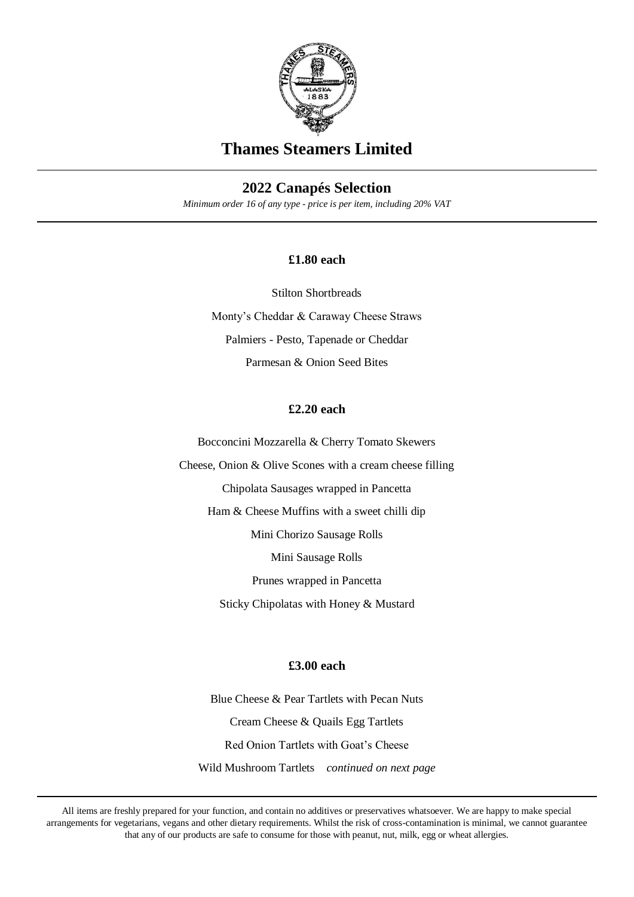

# **Thames Steamers Limited**

## **2022 Canapés Selection**

*Minimum order 16 of any type - price is per item, including 20% VAT*

### **£1.80 each**

Stilton Shortbreads Monty's Cheddar & Caraway Cheese Straws Palmiers - Pesto, Tapenade or Cheddar Parmesan & Onion Seed Bites

## **£2.20 each**

Bocconcini Mozzarella & Cherry Tomato Skewers

Cheese, Onion & Olive Scones with a cream cheese filling

Chipolata Sausages wrapped in Pancetta

Ham & Cheese Muffins with a sweet chilli dip

Mini Chorizo Sausage Rolls

Mini Sausage Rolls

Prunes wrapped in Pancetta

Sticky Chipolatas with Honey & Mustard

## **£3.00 each**

Blue Cheese & Pear Tartlets with Pecan Nuts Cream Cheese & Quails Egg Tartlets Red Onion Tartlets with Goat's Cheese Wild Mushroom Tartlets *continued on next page*

All items are freshly prepared for your function, and contain no additives or preservatives whatsoever. We are happy to make special arrangements for vegetarians, vegans and other dietary requirements. Whilst the risk of cross-contamination is minimal, we cannot guarantee that any of our products are safe to consume for those with peanut, nut, milk, egg or wheat allergies.